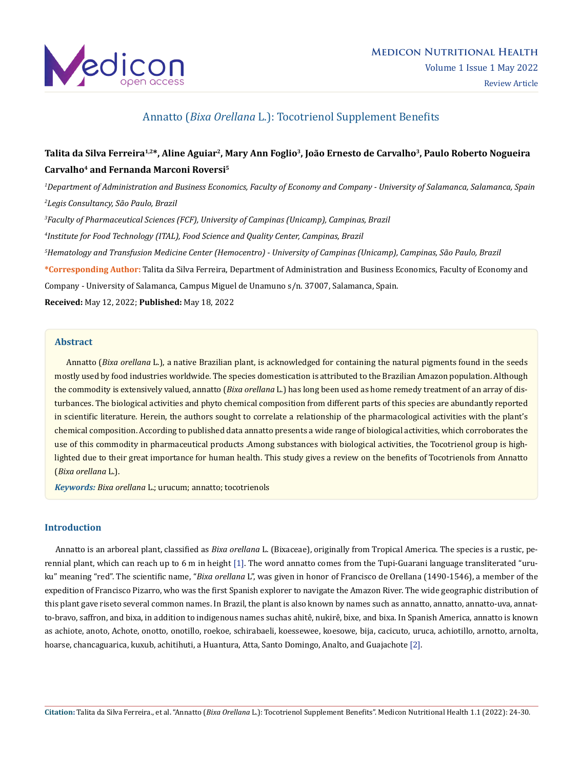

## Annatto (*Bixa Orellana* L.): Tocotrienol Supplement Benefits

# **Talita da Silva Ferreira1,2\*, Aline Aguiar2, Mary Ann Foglio3, João Ernesto de Carvalho3, Paulo Roberto Nogueira Carvalho4 and Fernanda Marconi Roversi5**

*1 Department of Administration and Business Economics, Faculty of Economy and Company - University of Salamanca, Salamanca, Spain 2 Legis Consultancy, São Paulo, Brazil*

*3 Faculty of Pharmaceutical Sciences (FCF), University of Campinas (Unicamp), Campinas, Brazil*

*4 Institute for Food Technology (ITAL), Food Science and Quality Center, Campinas, Brazil*

*5 Hematology and Transfusion Medicine Center (Hemocentro) - University of Campinas (Unicamp), Campinas, São Paulo, Brazil*

**\*Corresponding Author:** Talita da Silva Ferreira, Department of Administration and Business Economics, Faculty of Economy and Company - University of Salamanca, Campus Miguel de Unamuno s/n. 37007, Salamanca, Spain.

**Received:** May 12, 2022; **Published:** May 18, 2022

### **Abstract**

 Annatto (*Bixa orellana* L.), a native Brazilian plant, is acknowledged for containing the natural pigments found in the seeds mostly used by food industries worldwide. The species domestication is attributed to the Brazilian Amazon population. Although the commodity is extensively valued, annatto (*Bixa orellana* L.) has long been used as home remedy treatment of an array of disturbances. The biological activities and phyto chemical composition from different parts of this species are abundantly reported in scientific literature. Herein, the authors sought to correlate a relationship of the pharmacological activities with the plant's chemical composition. According to published data annatto presents a wide range of biological activities, which corroborates the use of this commodity in pharmaceutical products .Among substances with biological activities, the Tocotrienol group is highlighted due to their great importance for human health. This study gives a review on the benefits of Tocotrienols from Annatto (*Bixa orellana* L.).

*Keywords: Bixa orellana* L.; urucum; annatto; tocotrienols

## **Introduction**

 Annatto is an arboreal plant, classified as *Bixa orellana* L. (Bixaceae), originally from Tropical America. The species is a rustic, perennial plant, which can reach up to 6 m in height [1]. The word annatto comes from the Tupi-Guarani language transliterated "uruku" meaning "red". The scientific name, "*Bixa orellana* L", was given in honor of Francisco de Orellana (1490-1546), a member of the expedition of Francisco Pizarro, who was the first Spanish explorer to navigate the Amazon River. The wide geographic distribution of this plant gave riseto several common names. In Brazil, the plant is also known by names such as annatto, annatto, annatto-uva, annatto-bravo, saffron, and bixa, in addition to indigenous names suchas ahitê, nukirê, bixe, and bixa. In Spanish America, annatto is known as achiote, anoto, Achote, onotto, onotillo, roekoe, schirabaeli, koessewee, koesowe, bija, cacicuto, uruca, achiotillo, arnotto, arnolta, hoarse, chancaguarica, kuxub, achitihuti, a Huantura, Atta, Santo Domingo, Analto, and Guajachote [2].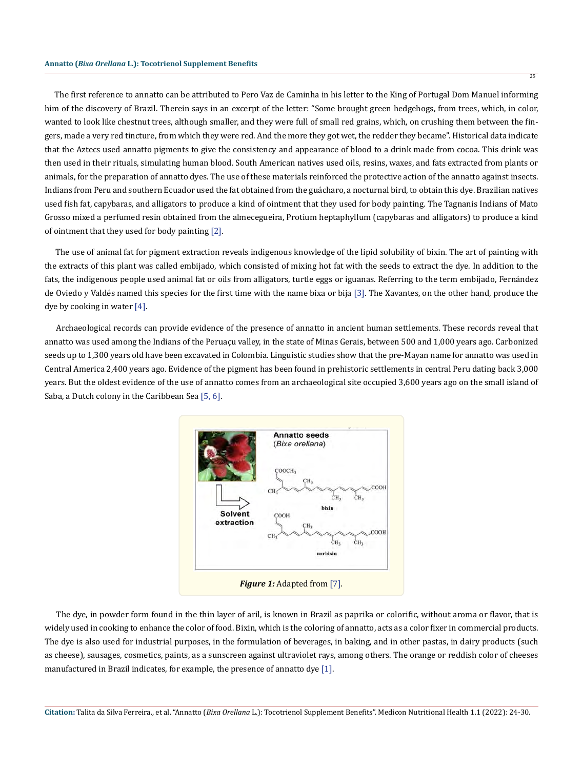The first reference to annatto can be attributed to Pero Vaz de Caminha in his letter to the King of Portugal Dom Manuel informing him of the discovery of Brazil. Therein says in an excerpt of the letter: "Some brought green hedgehogs, from trees, which, in color, wanted to look like chestnut trees, although smaller, and they were full of small red grains, which, on crushing them between the fingers, made a very red tincture, from which they were red. And the more they got wet, the redder they became". Historical data indicate that the Aztecs used annatto pigments to give the consistency and appearance of blood to a drink made from cocoa. This drink was then used in their rituals, simulating human blood. South American natives used oils, resins, waxes, and fats extracted from plants or animals, for the preparation of annatto dyes. The use of these materials reinforced the protective action of the annatto against insects. Indians from Peru and southern Ecuador used the fat obtained from the guácharo, a nocturnal bird, to obtain this dye. Brazilian natives used fish fat, capybaras, and alligators to produce a kind of ointment that they used for body painting. The Tagnanis Indians of Mato Grosso mixed a perfumed resin obtained from the almecegueira, Protium heptaphyllum (capybaras and alligators) to produce a kind of ointment that they used for body painting [2].

 The use of animal fat for pigment extraction reveals indigenous knowledge of the lipid solubility of bixin. The art of painting with the extracts of this plant was called embijado, which consisted of mixing hot fat with the seeds to extract the dye. In addition to the fats, the indigenous people used animal fat or oils from alligators, turtle eggs or iguanas. Referring to the term embijado, Fernández de Oviedo y Valdés named this species for the first time with the name bixa or bija [3]. The Xavantes, on the other hand, produce the dye by cooking in water [4].

 Archaeological records can provide evidence of the presence of annatto in ancient human settlements. These records reveal that annatto was used among the Indians of the Peruaçu valley, in the state of Minas Gerais, between 500 and 1,000 years ago. Carbonized seeds up to 1,300 years old have been excavated in Colombia. Linguistic studies show that the pre-Mayan name for annatto was used in Central America 2,400 years ago. Evidence of the pigment has been found in prehistoric settlements in central Peru dating back 3,000 years. But the oldest evidence of the use of annatto comes from an archaeological site occupied 3,600 years ago on the small island of Saba, a Dutch colony in the Caribbean Sea [5, 6].



 The dye, in powder form found in the thin layer of aril, is known in Brazil as paprika or colorific, without aroma or flavor, that is widely used in cooking to enhance the color of food. Bixin, which is the coloring of annatto, acts as a color fixer in commercial products. The dye is also used for industrial purposes, in the formulation of beverages, in baking, and in other pastas, in dairy products (such as cheese), sausages, cosmetics, paints, as a sunscreen against ultraviolet rays, among others. The orange or reddish color of cheeses manufactured in Brazil indicates, for example, the presence of annatto dye [1].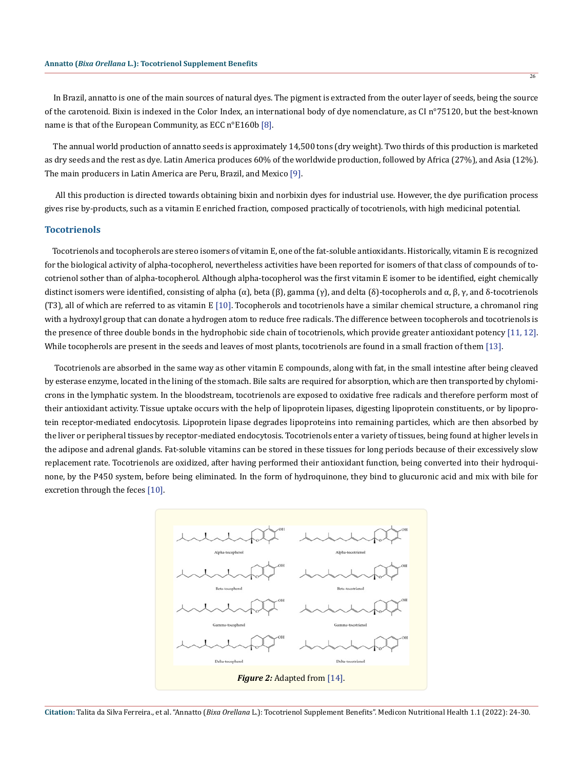In Brazil, annatto is one of the main sources of natural dyes. The pigment is extracted from the outer layer of seeds, being the source of the carotenoid. Bixin is indexed in the Color Index, an international body of dye nomenclature, as CI n°75120, but the best-known name is that of the European Community, as ECC n°E160b [8].

 The annual world production of annatto seeds is approximately 14,500 tons (dry weight). Two thirds of this production is marketed as dry seeds and the rest as dye. Latin America produces 60% of the worldwide production, followed by Africa (27%), and Asia (12%). The main producers in Latin America are Peru, Brazil, and Mexico [9].

 All this production is directed towards obtaining bixin and norbixin dyes for industrial use. However, the dye purification process gives rise by-products, such as a vitamin E enriched fraction, composed practically of tocotrienols, with high medicinal potential.

#### **Tocotrienols**

 Tocotrienols and tocopherols are stereo isomers of vitamin E, one of the fat-soluble antioxidants. Historically, vitamin E is recognized for the biological activity of alpha-tocopherol, nevertheless activities have been reported for isomers of that class of compounds of tocotrienol sother than of alpha-tocopherol. Although alpha-tocopherol was the first vitamin E isomer to be identified, eight chemically distinct isomers were identified, consisting of alpha (α), beta (β), gamma (γ), and delta (δ)-tocopherols and α, β, γ, and δ-tocotrienols (T3), all of which are referred to as vitamin E [10]. Tocopherols and tocotrienols have a similar chemical structure, a chromanol ring with a hydroxyl group that can donate a hydrogen atom to reduce free radicals. The difference between tocopherols and tocotrienols is the presence of three double bonds in the hydrophobic side chain of tocotrienols, which provide greater antioxidant potency [11, 12]. While tocopherols are present in the seeds and leaves of most plants, tocotrienols are found in a small fraction of them [13].

 Tocotrienols are absorbed in the same way as other vitamin E compounds, along with fat, in the small intestine after being cleaved by esterase enzyme, located in the lining of the stomach. Bile salts are required for absorption, which are then transported by chylomicrons in the lymphatic system. In the bloodstream, tocotrienols are exposed to oxidative free radicals and therefore perform most of their antioxidant activity. Tissue uptake occurs with the help of lipoprotein lipases, digesting lipoprotein constituents, or by lipoprotein receptor-mediated endocytosis. Lipoprotein lipase degrades lipoproteins into remaining particles, which are then absorbed by the liver or peripheral tissues by receptor-mediated endocytosis. Tocotrienols enter a variety of tissues, being found at higher levels in the adipose and adrenal glands. Fat-soluble vitamins can be stored in these tissues for long periods because of their excessively slow replacement rate. Tocotrienols are oxidized, after having performed their antioxidant function, being converted into their hydroquinone, by the P450 system, before being eliminated. In the form of hydroquinone, they bind to glucuronic acid and mix with bile for excretion through the feces [10].



**Citation:** Talita da Silva Ferreira., et al. "Annatto (*Bixa Orellana* L.): Tocotrienol Supplement Benefits". Medicon Nutritional Health 1.1 (2022): 24-30.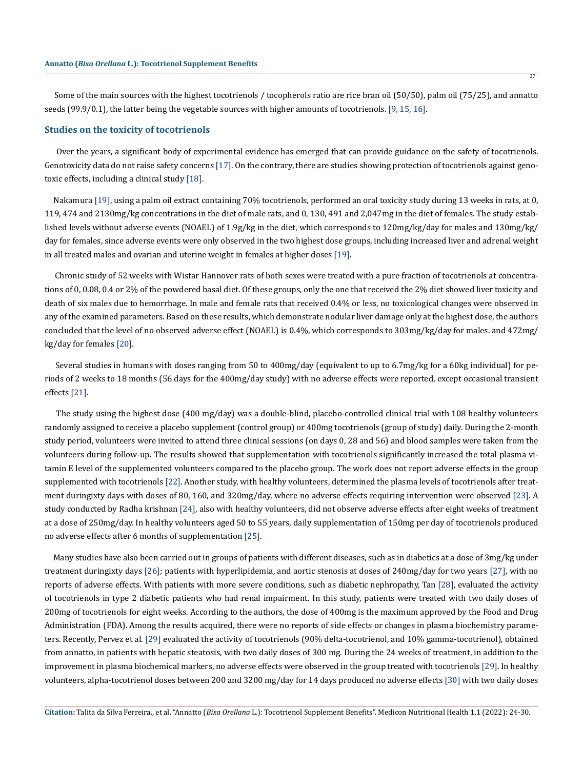Some of the main sources with the highest tocotrienols / tocopherols ratio are rice bran oil (50/50), palm oil (75/25), and annatto seeds (99.9/0.1), the latter being the vegetable sources with higher amounts of tocotrienols. [9, 15, 16].

#### **Studies on the toxicity of tocotrienols**

 Over the years, a significant body of experimental evidence has emerged that can provide guidance on the safety of tocotrienols. Genotoxicity data do not raise safety concerns [17]. On the contrary, there are studies showing protection of tocotrienols against genotoxic effects, including a clinical study [18].

 Nakamura [19], using a palm oil extract containing 70% tocotrienols, performed an oral toxicity study during 13 weeks in rats, at 0, 119, 474 and 2130mg/kg concentrations in the diet of male rats, and 0, 130, 491 and 2,047mg in the diet of females. The study established levels without adverse events (NOAEL) of 1.9g/kg in the diet, which corresponds to 120mg/kg/day for males and 130mg/kg/ day for females, since adverse events were only observed in the two highest dose groups, including increased liver and adrenal weight in all treated males and ovarian and uterine weight in females at higher doses [19].

 Chronic study of 52 weeks with Wistar Hannover rats of both sexes were treated with a pure fraction of tocotrienols at concentrations of 0, 0.08, 0.4 or 2% of the powdered basal diet. Of these groups, only the one that received the 2% diet showed liver toxicity and death of six males due to hemorrhage. In male and female rats that received 0.4% or less, no toxicological changes were observed in any of the examined parameters. Based on these results, which demonstrate nodular liver damage only at the highest dose, the authors concluded that the level of no observed adverse effect (NOAEL) is 0.4%, which corresponds to 303mg/kg/day for males. and 472mg/ kg/day for females [20].

 Several studies in humans with doses ranging from 50 to 400mg/day (equivalent to up to 6.7mg/kg for a 60kg individual) for periods of 2 weeks to 18 months (56 days for the 400mg/day study) with no adverse effects were reported, except occasional transient effects [21].

 The study using the highest dose (400 mg/day) was a double-blind, placebo-controlled clinical trial with 108 healthy volunteers randomly assigned to receive a placebo supplement (control group) or 400mg tocotrienols (group of study) daily. During the 2-month study period, volunteers were invited to attend three clinical sessions (on days 0, 28 and 56) and blood samples were taken from the volunteers during follow-up. The results showed that supplementation with tocotrienols significantly increased the total plasma vitamin E level of the supplemented volunteers compared to the placebo group. The work does not report adverse effects in the group supplemented with tocotrienols [22]. Another study, with healthy volunteers, determined the plasma levels of tocotrienols after treatment duringixty days with doses of 80, 160, and 320mg/day, where no adverse effects requiring intervention were observed [23]. A study conducted by Radha krishnan [24], also with healthy volunteers, did not observe adverse effects after eight weeks of treatment at a dose of 250mg/day. In healthy volunteers aged 50 to 55 years, daily supplementation of 150mg per day of tocotrienols produced no adverse effects after 6 months of supplementation [25].

 Many studies have also been carried out in groups of patients with different diseases, such as in diabetics at a dose of 3mg/kg under treatment duringixty days [26]; patients with hyperlipidemia, and aortic stenosis at doses of 240mg/day for two years [27], with no reports of adverse effects. With patients with more severe conditions, such as diabetic nephropathy, Tan [28], evaluated the activity of tocotrienols in type 2 diabetic patients who had renal impairment. In this study, patients were treated with two daily doses of 200mg of tocotrienols for eight weeks. According to the authors, the dose of 400mg is the maximum approved by the Food and Drug Administration (FDA). Among the results acquired, there were no reports of side effects or changes in plasma biochemistry parameters. Recently, Pervez et al. [29] evaluated the activity of tocotrienols (90% delta-tocotrienol, and 10% gamma-tocotrienol), obtained from annatto, in patients with hepatic steatosis, with two daily doses of 300 mg. During the 24 weeks of treatment, in addition to the improvement in plasma biochemical markers, no adverse effects were observed in the group treated with tocotrienols [29]. In healthy volunteers, alpha-tocotrienol doses between 200 and 3200 mg/day for 14 days produced no adverse effects [30] with two daily doses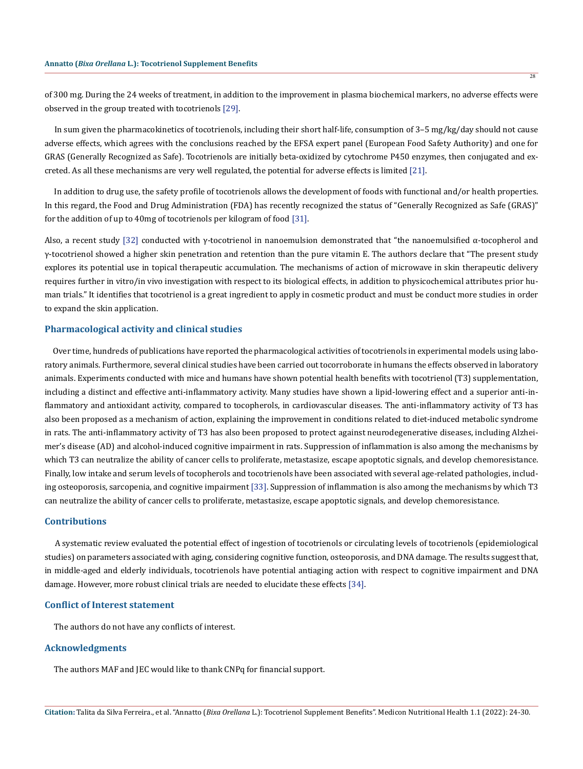of 300 mg. During the 24 weeks of treatment, in addition to the improvement in plasma biochemical markers, no adverse effects were observed in the group treated with tocotrienols [29].

 In sum given the pharmacokinetics of tocotrienols, including their short half-life, consumption of 3–5 mg/kg/day should not cause adverse effects, which agrees with the conclusions reached by the EFSA expert panel (European Food Safety Authority) and one for GRAS (Generally Recognized as Safe). Tocotrienols are initially beta-oxidized by cytochrome P450 enzymes, then conjugated and excreted. As all these mechanisms are very well regulated, the potential for adverse effects is limited [21].

 In addition to drug use, the safety profile of tocotrienols allows the development of foods with functional and/or health properties. In this regard, the Food and Drug Administration (FDA) has recently recognized the status of "Generally Recognized as Safe (GRAS)" for the addition of up to 40mg of tocotrienols per kilogram of food [31].

Also, a recent study [32] conducted with  $\gamma$ -tocotrienol in nanoemulsion demonstrated that "the nanoemulsified  $\alpha$ -tocopherol and γ-tocotrienol showed a higher skin penetration and retention than the pure vitamin E. The authors declare that "The present study explores its potential use in topical therapeutic accumulation. The mechanisms of action of microwave in skin therapeutic delivery requires further in vitro/in vivo investigation with respect to its biological effects, in addition to physicochemical attributes prior human trials." It identifies that tocotrienol is a great ingredient to apply in cosmetic product and must be conduct more studies in order to expand the skin application.

### **Pharmacological activity and clinical studies**

 Over time, hundreds of publications have reported the pharmacological activities of tocotrienols in experimental models using laboratory animals. Furthermore, several clinical studies have been carried out tocorroborate in humans the effects observed in laboratory animals. Experiments conducted with mice and humans have shown potential health benefits with tocotrienol (T3) supplementation, including a distinct and effective anti-inflammatory activity. Many studies have shown a lipid-lowering effect and a superior anti-inflammatory and antioxidant activity, compared to tocopherols, in cardiovascular diseases. The anti-inflammatory activity of T3 has also been proposed as a mechanism of action, explaining the improvement in conditions related to diet-induced metabolic syndrome in rats. The anti-inflammatory activity of T3 has also been proposed to protect against neurodegenerative diseases, including Alzheimer's disease (AD) and alcohol-induced cognitive impairment in rats. Suppression of inflammation is also among the mechanisms by which T3 can neutralize the ability of cancer cells to proliferate, metastasize, escape apoptotic signals, and develop chemoresistance. Finally, low intake and serum levels of tocopherols and tocotrienols have been associated with several age-related pathologies, including osteoporosis, sarcopenia, and cognitive impairment [33]. Suppression of inflammation is also among the mechanisms by which T3 can neutralize the ability of cancer cells to proliferate, metastasize, escape apoptotic signals, and develop chemoresistance.

#### **Contributions**

 A systematic review evaluated the potential effect of ingestion of tocotrienols or circulating levels of tocotrienols (epidemiological studies) on parameters associated with aging, considering cognitive function, osteoporosis, and DNA damage. The results suggest that, in middle-aged and elderly individuals, tocotrienols have potential antiaging action with respect to cognitive impairment and DNA damage. However, more robust clinical trials are needed to elucidate these effects [34].

#### **Conflict of Interest statement**

The authors do not have any conflicts of interest.

### **Acknowledgments**

The authors MAF and JEC would like to thank CNPq for financial support.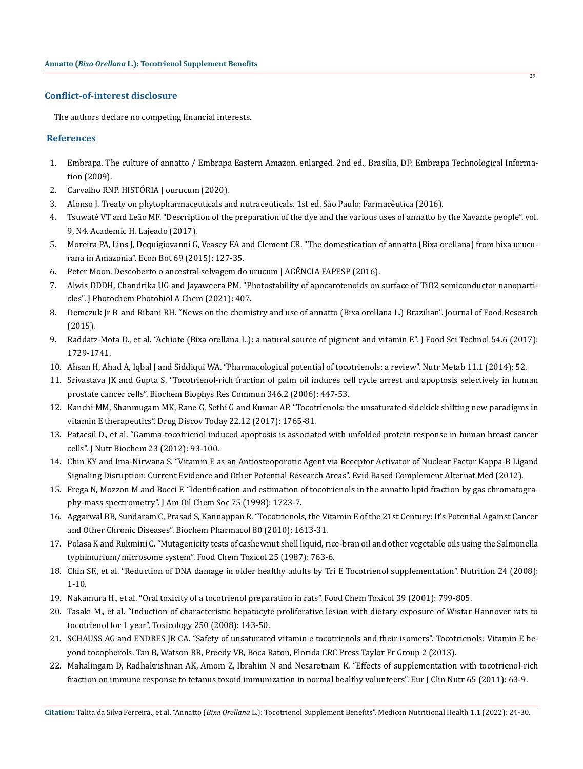## **Conflict-of-interest disclosure**

The authors declare no competing financial interests.

## **References**

- 1. Embrapa. The culture of annatto / Embrapa Eastern Amazon. enlarged. 2nd ed., Brasília, DF: Embrapa Technological Information (2009).
- 2. [Carvalho RNP. HISTÓRIA | ourucum \(2020\).](https://www.ourucum.com.br/historia)
- 3. Alonso J. Treaty on phytopharmaceuticals and nutraceuticals. 1st ed. São Paulo: Farmacêutica (2016).
- 4. Tsuwaté VT and Leão MF. "Description of the preparation of the dye and the various uses of annatto by the Xavante people". vol. 9, N4. Academic H. Lajeado (2017).
- 5. Moreira PA, Lins J, Dequigiovanni G, Veasey EA and Clement CR. "The domestication of annatto (Bixa orellana) from bixa urucurana in Amazonia". Econ Bot 69 (2015): 127-35.
- 6. [Peter Moon. Descoberto o ancestral selvagem do urucum | AGÊNCIA FAPESP \(2016\).](https://agencia.fapesp.br/descoberto-o-ancestral-selvagem-do-urucum/22580/)
- 7. Alwis DDDH, Chandrika UG and Jayaweera PM. "Photostability of apocarotenoids on surface of TiO2 semiconductor nanoparticles". J Photochem Photobiol A Chem (2021): 407.
- 8. Demczuk Jr B  and Ribani RH. "News on the chemistry and use of annatto (Bixa orellana L.) Brazilian". Journal of Food Research (2015).
- 9. [Raddatz-Mota D., et al. "Achiote \(Bixa orellana L.\): a natural source of pigment and vitamin E". J Food Sci Technol 54.6 \(2017\):](https://pubmed.ncbi.nlm.nih.gov/28559632/) [1729-1741.](https://pubmed.ncbi.nlm.nih.gov/28559632/)
- 10. [Ahsan H, Ahad A, Iqbal J and Siddiqui WA. "Pharmacological potential of tocotrienols: a review". Nutr Metab 11.1 \(2014\): 52.](https://pubmed.ncbi.nlm.nih.gov/25435896/)
- 11. [Srivastava JK and Gupta S. "Tocotrienol-rich fraction of palm oil induces cell cycle arrest and apoptosis selectively in human](https://pubmed.ncbi.nlm.nih.gov/16762318/) [prostate cancer cells". Biochem Biophys Res Commun 346.2 \(2006\): 447-53.](https://pubmed.ncbi.nlm.nih.gov/16762318/)
- 12. [Kanchi MM, Shanmugam MK, Rane G, Sethi G and Kumar AP. "Tocotrienols: the unsaturated sidekick shifting new paradigms in](https://pubmed.ncbi.nlm.nih.gov/28789906/) [vitamin E therapeutics". Drug Discov Today 22.12 \(2017\): 1765-81.](https://pubmed.ncbi.nlm.nih.gov/28789906/)
- 13. [Patacsil D., et al. "Gamma-tocotrienol induced apoptosis is associated with unfolded protein response in human breast cancer](https://pubmed.ncbi.nlm.nih.gov/21429729/) [cells". J Nutr Biochem 23 \(2012\): 93-100.](https://pubmed.ncbi.nlm.nih.gov/21429729/)
- 14. Chin KY and Ima-Nirwana S. "Vitamin E as an Antiosteoporotic Agent via Receptor Activator of Nuclear Factor Kappa-B Ligand Signaling Disruption: Current Evidence and Other Potential Research Areas". Evid Based Complement Alternat Med (2012).
- 15. Frega N, Mozzon M and Bocci F. "Identification and estimation of tocotrienols in the annatto lipid fraction by gas chromatography-mass spectrometry". J Am Oil Chem Soc 75 (1998): 1723-7.
- 16. [Aggarwal BB, Sundaram C, Prasad S, Kannappan R. "Tocotrienols, the Vitamin E of the 21st Century: It's Potential Against Cancer](https://pubmed.ncbi.nlm.nih.gov/20696139/) [and Other Chronic Diseases". Biochem Pharmacol 80 \(2010\): 1613-31.](https://pubmed.ncbi.nlm.nih.gov/20696139/)
- 17. [Polasa K and Rukmini C. "Mutagenicity tests of cashewnut shell liquid, rice-bran oil and other vegetable oils using the Salmonella](https://pubmed.ncbi.nlm.nih.gov/3315902/) [typhimurium/microsome system". Food Chem Toxicol 25 \(1987\): 763-6.](https://pubmed.ncbi.nlm.nih.gov/3315902/)
- 18. [Chin SF., et al. "Reduction of DNA damage in older healthy adults by Tri E Tocotrienol supplementation". Nutrition 24 \(2008\):](https://pubmed.ncbi.nlm.nih.gov/17884341/) [1-10.](https://pubmed.ncbi.nlm.nih.gov/17884341/)
- 19. [Nakamura H., et al. "Oral toxicity of a tocotrienol preparation in rats". Food Chem Toxicol 39 \(2001\): 799-805.](https://pubmed.ncbi.nlm.nih.gov/11434987/)
- 20. [Tasaki M., et al. "Induction of characteristic hepatocyte proliferative lesion with dietary exposure of Wistar Hannover rats to](https://pubmed.ncbi.nlm.nih.gov/18675878/) [tocotrienol for 1 year". Toxicology 250 \(2008\): 143-50.](https://pubmed.ncbi.nlm.nih.gov/18675878/)
- 21. SCHAUSS AG and ENDRES JR CA. "Safety of unsaturated vitamin e tocotrienols and their isomers". Tocotrienols: Vitamin E beyond tocopherols. Tan B, Watson RR, Preedy VR, Boca Raton, Florida CRC Press Taylor Fr Group 2 (2013).
- 22. [Mahalingam D, Radhakrishnan AK, Amom Z, Ibrahim N and Nesaretnam K. "Effects of supplementation with tocotrienol-rich](https://pubmed.ncbi.nlm.nih.gov/20859299/) [fraction on immune response to tetanus toxoid immunization in normal healthy volunteers". Eur J Clin Nutr 65 \(2011\): 63-9.](https://pubmed.ncbi.nlm.nih.gov/20859299/)